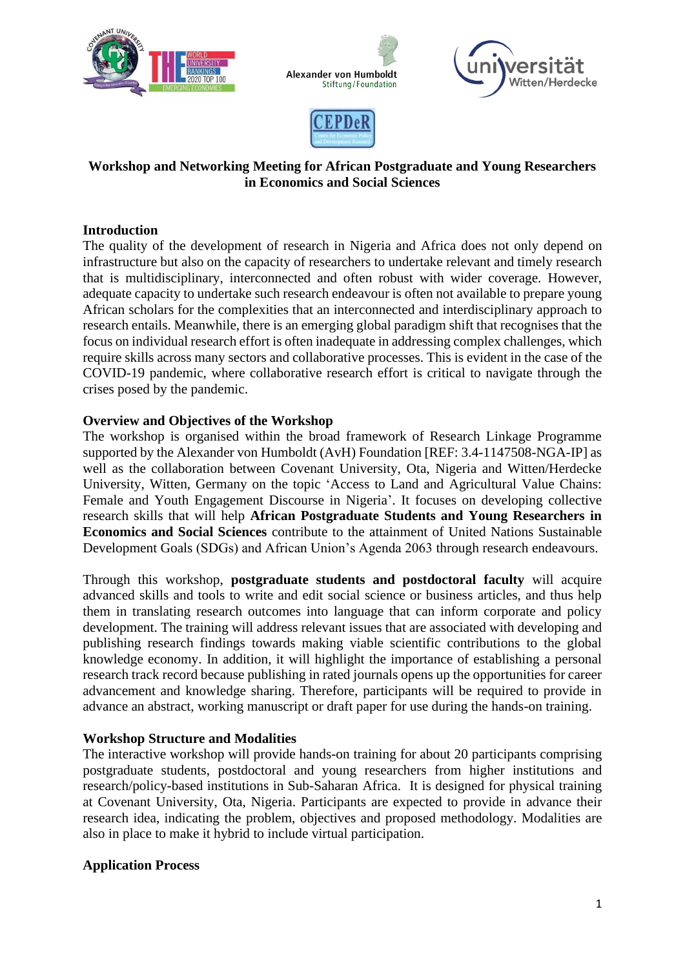







# **Workshop and Networking Meeting for African Postgraduate and Young Researchers in Economics and Social Sciences**

# **Introduction**

The quality of the development of research in Nigeria and Africa does not only depend on infrastructure but also on the capacity of researchers to undertake relevant and timely research that is multidisciplinary, interconnected and often robust with wider coverage. However, adequate capacity to undertake such research endeavour is often not available to prepare young African scholars for the complexities that an interconnected and interdisciplinary approach to research entails. Meanwhile, there is an emerging global paradigm shift that recognises that the focus on individual research effort is often inadequate in addressing complex challenges, which require skills across many sectors and collaborative processes. This is evident in the case of the COVID-19 pandemic, where collaborative research effort is critical to navigate through the crises posed by the pandemic.

# **Overview and Objectives of the Workshop**

The workshop is organised within the broad framework of Research Linkage Programme supported by the Alexander von Humboldt (AvH) Foundation [REF: 3.4-1147508-NGA-IP] as well as the collaboration between Covenant University, Ota, Nigeria and Witten/Herdecke University, Witten, Germany on the topic 'Access to Land and Agricultural Value Chains: Female and Youth Engagement Discourse in Nigeria'. It focuses on developing collective research skills that will help **African Postgraduate Students and Young Researchers in Economics and Social Sciences** contribute to the attainment of United Nations Sustainable Development Goals (SDGs) and African Union's Agenda 2063 through research endeavours.

Through this workshop, **postgraduate students and postdoctoral faculty** will acquire advanced skills and tools to write and edit social science or business articles, and thus help them in translating research outcomes into language that can inform corporate and policy development. The training will address relevant issues that are associated with developing and publishing research findings towards making viable scientific contributions to the global knowledge economy. In addition, it will highlight the importance of establishing a personal research track record because publishing in rated journals opens up the opportunities for career advancement and knowledge sharing. Therefore, participants will be required to provide in advance an abstract, working manuscript or draft paper for use during the hands-on training.

# **Workshop Structure and Modalities**

The interactive workshop will provide hands-on training for about 20 participants comprising postgraduate students, postdoctoral and young researchers from higher institutions and research/policy-based institutions in Sub-Saharan Africa. It is designed for physical training at Covenant University, Ota, Nigeria. Participants are expected to provide in advance their research idea, indicating the problem, objectives and proposed methodology. Modalities are also in place to make it hybrid to include virtual participation.

# **Application Process**